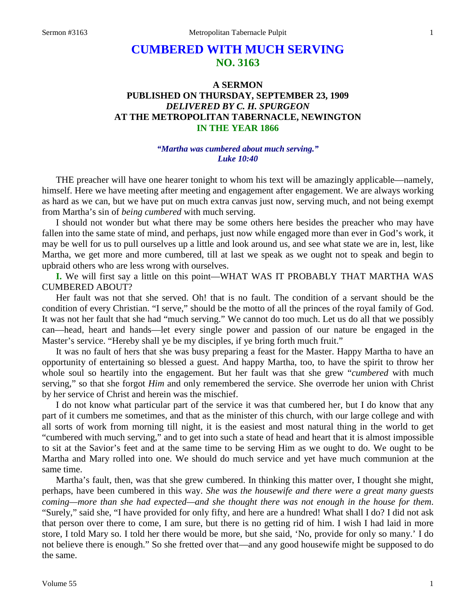# **CUMBERED WITH MUCH SERVING NO. 3163**

## **A SERMON PUBLISHED ON THURSDAY, SEPTEMBER 23, 1909** *DELIVERED BY C. H. SPURGEON* **AT THE METROPOLITAN TABERNACLE, NEWINGTON IN THE YEAR 1866**

#### *"Martha was cumbered about much serving." Luke 10:40*

THE preacher will have one hearer tonight to whom his text will be amazingly applicable—namely, himself. Here we have meeting after meeting and engagement after engagement. We are always working as hard as we can, but we have put on much extra canvas just now, serving much, and not being exempt from Martha's sin of *being cumbered* with much serving.

I should not wonder but what there may be some others here besides the preacher who may have fallen into the same state of mind, and perhaps, just now while engaged more than ever in God's work, it may be well for us to pull ourselves up a little and look around us, and see what state we are in, lest, like Martha, we get more and more cumbered, till at last we speak as we ought not to speak and begin to upbraid others who are less wrong with ourselves.

**I.** We will first say a little on this point—WHAT WAS IT PROBABLY THAT MARTHA WAS CUMBERED ABOUT?

Her fault was not that she served. Oh! that is no fault. The condition of a servant should be the condition of every Christian. "I serve," should be the motto of all the princes of the royal family of God. It was not her fault that she had "much serving." We cannot do too much. Let us do all that we possibly can—head, heart and hands—let every single power and passion of our nature be engaged in the Master's service. "Hereby shall ye be my disciples, if ye bring forth much fruit."

It was no fault of hers that she was busy preparing a feast for the Master. Happy Martha to have an opportunity of entertaining so blessed a guest. And happy Martha, too, to have the spirit to throw her whole soul so heartily into the engagement. But her fault was that she grew "*cumbered* with much serving," so that she forgot *Him* and only remembered the service. She overrode her union with Christ by her service of Christ and herein was the mischief.

I do not know what particular part of the service it was that cumbered her, but I do know that any part of it cumbers me sometimes, and that as the minister of this church, with our large college and with all sorts of work from morning till night, it is the easiest and most natural thing in the world to get "cumbered with much serving," and to get into such a state of head and heart that it is almost impossible to sit at the Savior's feet and at the same time to be serving Him as we ought to do. We ought to be Martha and Mary rolled into one. We should do much service and yet have much communion at the same time.

Martha's fault, then, was that she grew cumbered. In thinking this matter over, I thought she might, perhaps, have been cumbered in this way. *She was the housewife and there were a great many guests coming—more than she had expected—and she thought there was not enough in the house for them*. "Surely," said she, "I have provided for only fifty, and here are a hundred! What shall I do? I did not ask that person over there to come, I am sure, but there is no getting rid of him. I wish I had laid in more store, I told Mary so. I told her there would be more, but she said, 'No, provide for only so many.' I do not believe there is enough." So she fretted over that—and any good housewife might be supposed to do the same.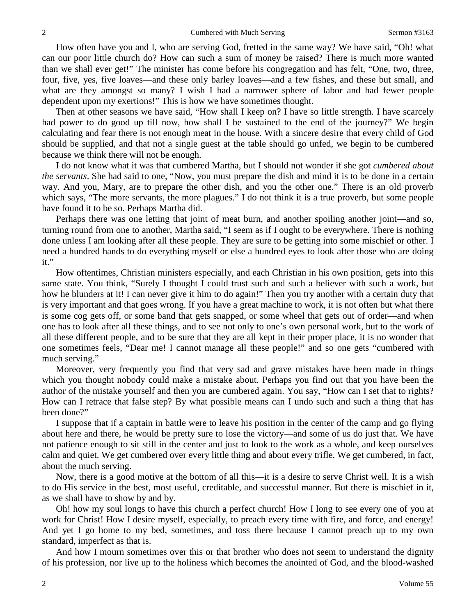How often have you and I, who are serving God, fretted in the same way? We have said, "Oh! what can our poor little church do? How can such a sum of money be raised? There is much more wanted than we shall ever get!" The minister has come before his congregation and has felt, "One, two, three, four, five, yes, five loaves—and these only barley loaves—and a few fishes, and these but small, and what are they amongst so many? I wish I had a narrower sphere of labor and had fewer people dependent upon my exertions!" This is how we have sometimes thought.

Then at other seasons we have said, "How shall I keep on? I have so little strength. I have scarcely had power to do good up till now, how shall I be sustained to the end of the journey?" We begin calculating and fear there is not enough meat in the house. With a sincere desire that every child of God should be supplied, and that not a single guest at the table should go unfed, we begin to be cumbered because we think there will not be enough.

I do not know what it was that cumbered Martha, but I should not wonder if she got *cumbered about the servants*. She had said to one, "Now, you must prepare the dish and mind it is to be done in a certain way. And you, Mary, are to prepare the other dish, and you the other one." There is an old proverb which says, "The more servants, the more plagues." I do not think it is a true proverb, but some people have found it to be so. Perhaps Martha did.

Perhaps there was one letting that joint of meat burn, and another spoiling another joint—and so, turning round from one to another, Martha said, "I seem as if I ought to be everywhere. There is nothing done unless I am looking after all these people. They are sure to be getting into some mischief or other. I need a hundred hands to do everything myself or else a hundred eyes to look after those who are doing it."

How oftentimes, Christian ministers especially, and each Christian in his own position, gets into this same state. You think, "Surely I thought I could trust such and such a believer with such a work, but how he blunders at it! I can never give it him to do again!" Then you try another with a certain duty that is very important and that goes wrong. If you have a great machine to work, it is not often but what there is some cog gets off, or some band that gets snapped, or some wheel that gets out of order—and when one has to look after all these things, and to see not only to one's own personal work, but to the work of all these different people, and to be sure that they are all kept in their proper place, it is no wonder that one sometimes feels, "Dear me! I cannot manage all these people!" and so one gets "cumbered with much serving."

Moreover, very frequently you find that very sad and grave mistakes have been made in things which you thought nobody could make a mistake about. Perhaps you find out that you have been the author of the mistake yourself and then you are cumbered again. You say, "How can I set that to rights? How can I retrace that false step? By what possible means can I undo such and such a thing that has been done?"

I suppose that if a captain in battle were to leave his position in the center of the camp and go flying about here and there, he would be pretty sure to lose the victory—and some of us do just that. We have not patience enough to sit still in the center and just to look to the work as a whole, and keep ourselves calm and quiet. We get cumbered over every little thing and about every trifle. We get cumbered, in fact, about the much serving.

Now, there is a good motive at the bottom of all this—it is a desire to serve Christ well. It is a wish to do His service in the best, most useful, creditable, and successful manner. But there is mischief in it, as we shall have to show by and by.

Oh! how my soul longs to have this church a perfect church! How I long to see every one of you at work for Christ! How I desire myself, especially, to preach every time with fire, and force, and energy! And yet I go home to my bed, sometimes, and toss there because I cannot preach up to my own standard, imperfect as that is.

And how I mourn sometimes over this or that brother who does not seem to understand the dignity of his profession, nor live up to the holiness which becomes the anointed of God, and the blood-washed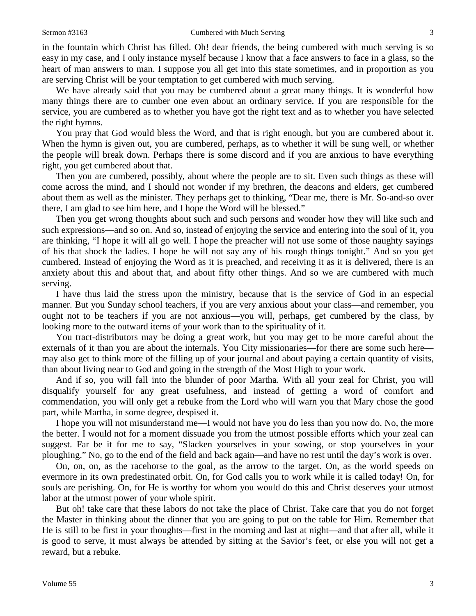in the fountain which Christ has filled. Oh! dear friends, the being cumbered with much serving is so easy in my case, and I only instance myself because I know that a face answers to face in a glass, so the heart of man answers to man. I suppose you all get into this state sometimes, and in proportion as you are serving Christ will be your temptation to get cumbered with much serving.

We have already said that you may be cumbered about a great many things. It is wonderful how many things there are to cumber one even about an ordinary service. If you are responsible for the service, you are cumbered as to whether you have got the right text and as to whether you have selected the right hymns.

You pray that God would bless the Word, and that is right enough, but you are cumbered about it. When the hymn is given out, you are cumbered, perhaps, as to whether it will be sung well, or whether the people will break down. Perhaps there is some discord and if you are anxious to have everything right, you get cumbered about that.

Then you are cumbered, possibly, about where the people are to sit. Even such things as these will come across the mind, and I should not wonder if my brethren, the deacons and elders, get cumbered about them as well as the minister. They perhaps get to thinking, "Dear me, there is Mr. So-and-so over there, I am glad to see him here, and I hope the Word will be blessed."

Then you get wrong thoughts about such and such persons and wonder how they will like such and such expressions—and so on. And so, instead of enjoying the service and entering into the soul of it, you are thinking, "I hope it will all go well. I hope the preacher will not use some of those naughty sayings of his that shock the ladies. I hope he will not say any of his rough things tonight." And so you get cumbered. Instead of enjoying the Word as it is preached, and receiving it as it is delivered, there is an anxiety about this and about that, and about fifty other things. And so we are cumbered with much serving.

I have thus laid the stress upon the ministry, because that is the service of God in an especial manner. But you Sunday school teachers, if you are very anxious about your class—and remember, you ought not to be teachers if you are not anxious—you will, perhaps, get cumbered by the class, by looking more to the outward items of your work than to the spirituality of it.

You tract-distributors may be doing a great work, but you may get to be more careful about the externals of it than you are about the internals. You City missionaries—for there are some such here may also get to think more of the filling up of your journal and about paying a certain quantity of visits, than about living near to God and going in the strength of the Most High to your work.

And if so, you will fall into the blunder of poor Martha. With all your zeal for Christ, you will disqualify yourself for any great usefulness, and instead of getting a word of comfort and commendation, you will only get a rebuke from the Lord who will warn you that Mary chose the good part, while Martha, in some degree, despised it.

I hope you will not misunderstand me—I would not have you do less than you now do. No, the more the better. I would not for a moment dissuade you from the utmost possible efforts which your zeal can suggest. Far be it for me to say, "Slacken yourselves in your sowing, or stop yourselves in your ploughing." No, go to the end of the field and back again—and have no rest until the day's work is over.

On, on, on, as the racehorse to the goal, as the arrow to the target. On, as the world speeds on evermore in its own predestinated orbit. On, for God calls you to work while it is called today! On, for souls are perishing. On, for He is worthy for whom you would do this and Christ deserves your utmost labor at the utmost power of your whole spirit.

But oh! take care that these labors do not take the place of Christ. Take care that you do not forget the Master in thinking about the dinner that you are going to put on the table for Him. Remember that He is still to be first in your thoughts—first in the morning and last at night—and that after all, while it is good to serve, it must always be attended by sitting at the Savior's feet, or else you will not get a reward, but a rebuke.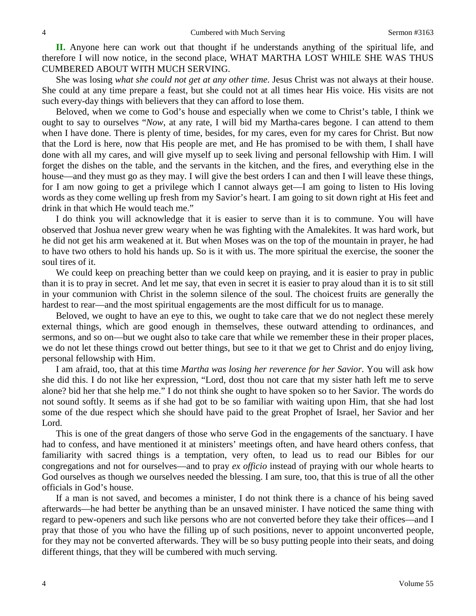**II.** Anyone here can work out that thought if he understands anything of the spiritual life, and therefore I will now notice, in the second place, WHAT MARTHA LOST WHILE SHE WAS THUS CUMBERED ABOUT WITH MUCH SERVING.

She was losing *what she could not get at any other time*. Jesus Christ was not always at their house. She could at any time prepare a feast, but she could not at all times hear His voice. His visits are not such every-day things with believers that they can afford to lose them.

Beloved, when we come to God's house and especially when we come to Christ's table, I think we ought to say to ourselves "*Now*, at any rate, I will bid my Martha-cares begone. I can attend to them when I have done. There is plenty of time, besides, for my cares, even for my cares for Christ. But now that the Lord is here, now that His people are met, and He has promised to be with them, I shall have done with all my cares, and will give myself up to seek living and personal fellowship with Him. I will forget the dishes on the table, and the servants in the kitchen, and the fires, and everything else in the house—and they must go as they may. I will give the best orders I can and then I will leave these things, for I am now going to get a privilege which I cannot always get—I am going to listen to His loving words as they come welling up fresh from my Savior's heart. I am going to sit down right at His feet and drink in that which He would teach me."

I do think you will acknowledge that it is easier to serve than it is to commune. You will have observed that Joshua never grew weary when he was fighting with the Amalekites. It was hard work, but he did not get his arm weakened at it. But when Moses was on the top of the mountain in prayer, he had to have two others to hold his hands up. So is it with us. The more spiritual the exercise, the sooner the soul tires of it.

We could keep on preaching better than we could keep on praying, and it is easier to pray in public than it is to pray in secret. And let me say, that even in secret it is easier to pray aloud than it is to sit still in your communion with Christ in the solemn silence of the soul. The choicest fruits are generally the hardest to rear—and the most spiritual engagements are the most difficult for us to manage.

Beloved, we ought to have an eye to this, we ought to take care that we do not neglect these merely external things, which are good enough in themselves, these outward attending to ordinances, and sermons, and so on—but we ought also to take care that while we remember these in their proper places, we do not let these things crowd out better things, but see to it that we get to Christ and do enjoy living, personal fellowship with Him.

I am afraid, too, that at this time *Martha was losing her reverence for her Savior*. You will ask how she did this. I do not like her expression, "Lord, dost thou not care that my sister hath left me to serve alone? bid her that she help me." I do not think she ought to have spoken so to her Savior. The words do not sound softly. It seems as if she had got to be so familiar with waiting upon Him, that she had lost some of the due respect which she should have paid to the great Prophet of Israel, her Savior and her Lord.

This is one of the great dangers of those who serve God in the engagements of the sanctuary. I have had to confess, and have mentioned it at ministers' meetings often, and have heard others confess, that familiarity with sacred things is a temptation, very often, to lead us to read our Bibles for our congregations and not for ourselves—and to pray *ex officio* instead of praying with our whole hearts to God ourselves as though we ourselves needed the blessing. I am sure, too, that this is true of all the other officials in God's house.

If a man is not saved, and becomes a minister, I do not think there is a chance of his being saved afterwards—he had better be anything than be an unsaved minister. I have noticed the same thing with regard to pew-openers and such like persons who are not converted before they take their offices—and I pray that those of you who have the filling up of such positions, never to appoint unconverted people, for they may not be converted afterwards. They will be so busy putting people into their seats, and doing different things, that they will be cumbered with much serving.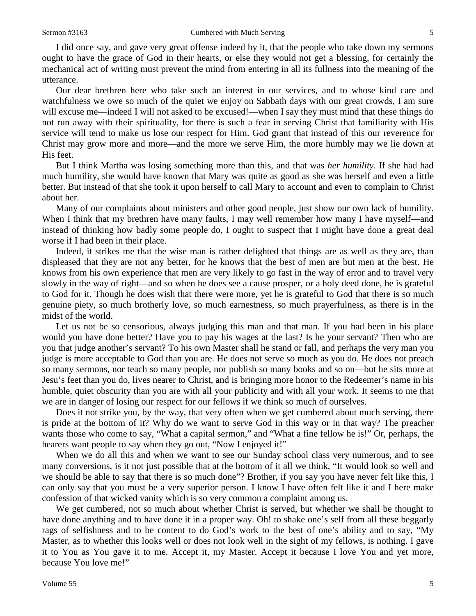I did once say, and gave very great offense indeed by it, that the people who take down my sermons ought to have the grace of God in their hearts, or else they would not get a blessing, for certainly the mechanical act of writing must prevent the mind from entering in all its fullness into the meaning of the utterance.

Our dear brethren here who take such an interest in our services, and to whose kind care and watchfulness we owe so much of the quiet we enjoy on Sabbath days with our great crowds, I am sure will excuse me—indeed I will not asked to be excused!—when I say they must mind that these things do not run away with their spirituality, for there is such a fear in serving Christ that familiarity with His service will tend to make us lose our respect for Him. God grant that instead of this our reverence for Christ may grow more and more—and the more we serve Him, the more humbly may we lie down at His feet.

But I think Martha was losing something more than this, and that was *her humility*. If she had had much humility, she would have known that Mary was quite as good as she was herself and even a little better. But instead of that she took it upon herself to call Mary to account and even to complain to Christ about her.

Many of our complaints about ministers and other good people, just show our own lack of humility. When I think that my brethren have many faults, I may well remember how many I have myself—and instead of thinking how badly some people do, I ought to suspect that I might have done a great deal worse if I had been in their place.

Indeed, it strikes me that the wise man is rather delighted that things are as well as they are, than displeased that they are not any better, for he knows that the best of men are but men at the best. He knows from his own experience that men are very likely to go fast in the way of error and to travel very slowly in the way of right—and so when he does see a cause prosper, or a holy deed done, he is grateful to God for it. Though he does wish that there were more, yet he is grateful to God that there is so much genuine piety, so much brotherly love, so much earnestness, so much prayerfulness, as there is in the midst of the world.

Let us not be so censorious, always judging this man and that man. If you had been in his place would you have done better? Have you to pay his wages at the last? Is he your servant? Then who are you that judge another's servant? To his own Master shall he stand or fall, and perhaps the very man you judge is more acceptable to God than you are. He does not serve so much as you do. He does not preach so many sermons, nor teach so many people, nor publish so many books and so on—but he sits more at Jesu's feet than you do, lives nearer to Christ, and is bringing more honor to the Redeemer's name in his humble, quiet obscurity than you are with all your publicity and with all your work. It seems to me that we are in danger of losing our respect for our fellows if we think so much of ourselves.

Does it not strike you, by the way, that very often when we get cumbered about much serving, there is pride at the bottom of it? Why do we want to serve God in this way or in that way? The preacher wants those who come to say, "What a capital sermon," and "What a fine fellow he is!" Or, perhaps, the hearers want people to say when they go out, "Now I enjoyed it!"

When we do all this and when we want to see our Sunday school class very numerous, and to see many conversions, is it not just possible that at the bottom of it all we think, "It would look so well and we should be able to say that there is so much done"? Brother, if you say you have never felt like this, I can only say that you must be a very superior person. I know I have often felt like it and I here make confession of that wicked vanity which is so very common a complaint among us.

We get cumbered, not so much about whether Christ is served, but whether we shall be thought to have done anything and to have done it in a proper way. Oh! to shake one's self from all these beggarly rags of selfishness and to be content to do God's work to the best of one's ability and to say, "My Master, as to whether this looks well or does not look well in the sight of my fellows, is nothing. I gave it to You as You gave it to me. Accept it, my Master. Accept it because I love You and yet more, because You love me!"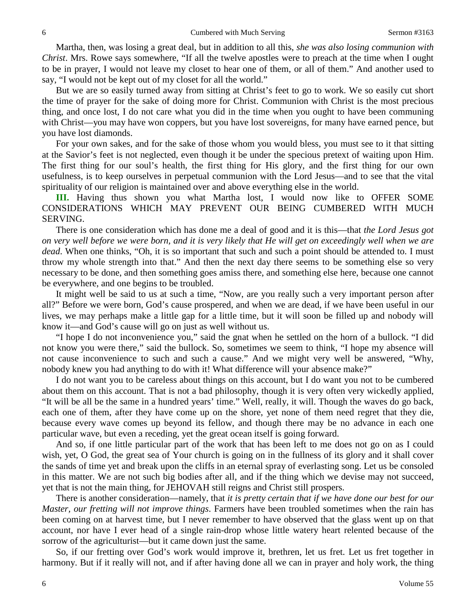Martha, then, was losing a great deal, but in addition to all this, *she was also losing communion with Christ*. Mrs. Rowe says somewhere, "If all the twelve apostles were to preach at the time when I ought to be in prayer, I would not leave my closet to hear one of them, or all of them." And another used to say, "I would not be kept out of my closet for all the world."

But we are so easily turned away from sitting at Christ's feet to go to work. We so easily cut short the time of prayer for the sake of doing more for Christ. Communion with Christ is the most precious thing, and once lost, I do not care what you did in the time when you ought to have been communing with Christ—you may have won coppers, but you have lost sovereigns, for many have earned pence, but you have lost diamonds.

For your own sakes, and for the sake of those whom you would bless, you must see to it that sitting at the Savior's feet is not neglected, even though it be under the specious pretext of waiting upon Him. The first thing for our soul's health, the first thing for His glory, and the first thing for our own usefulness, is to keep ourselves in perpetual communion with the Lord Jesus—and to see that the vital spirituality of our religion is maintained over and above everything else in the world.

**III.** Having thus shown you what Martha lost, I would now like to OFFER SOME CONSIDERATIONS WHICH MAY PREVENT OUR BEING CUMBERED WITH MUCH SERVING.

There is one consideration which has done me a deal of good and it is this—that *the Lord Jesus got on very well before we were born, and it is very likely that He will get on exceedingly well when we are dead*. When one thinks, "Oh, it is so important that such and such a point should be attended to. I must throw my whole strength into that." And then the next day there seems to be something else so very necessary to be done, and then something goes amiss there, and something else here, because one cannot be everywhere, and one begins to be troubled.

It might well be said to us at such a time, "Now, are you really such a very important person after all?" Before we were born, God's cause prospered, and when we are dead, if we have been useful in our lives, we may perhaps make a little gap for a little time, but it will soon be filled up and nobody will know it—and God's cause will go on just as well without us.

"I hope I do not inconvenience you," said the gnat when he settled on the horn of a bullock. "I did not know you were there," said the bullock. So, sometimes we seem to think, "I hope my absence will not cause inconvenience to such and such a cause." And we might very well be answered, "Why, nobody knew you had anything to do with it! What difference will your absence make?"

I do not want you to be careless about things on this account, but I do want you not to be cumbered about them on this account. That is not a bad philosophy, though it is very often very wickedly applied, "It will be all be the same in a hundred years' time." Well, really, it will. Though the waves do go back, each one of them, after they have come up on the shore, yet none of them need regret that they die, because every wave comes up beyond its fellow, and though there may be no advance in each one particular wave, but even a receding, yet the great ocean itself is going forward.

And so, if one little particular part of the work that has been left to me does not go on as I could wish, yet, O God, the great sea of Your church is going on in the fullness of its glory and it shall cover the sands of time yet and break upon the cliffs in an eternal spray of everlasting song. Let us be consoled in this matter. We are not such big bodies after all, and if the thing which we devise may not succeed, yet that is not the main thing, for JEHOVAH still reigns and Christ still prospers.

There is another consideration—namely, that *it is pretty certain that if we have done our best for our Master, our fretting will not improve things*. Farmers have been troubled sometimes when the rain has been coming on at harvest time, but I never remember to have observed that the glass went up on that account, nor have I ever head of a single rain-drop whose little watery heart relented because of the sorrow of the agriculturist—but it came down just the same.

So, if our fretting over God's work would improve it, brethren, let us fret. Let us fret together in harmony. But if it really will not, and if after having done all we can in prayer and holy work, the thing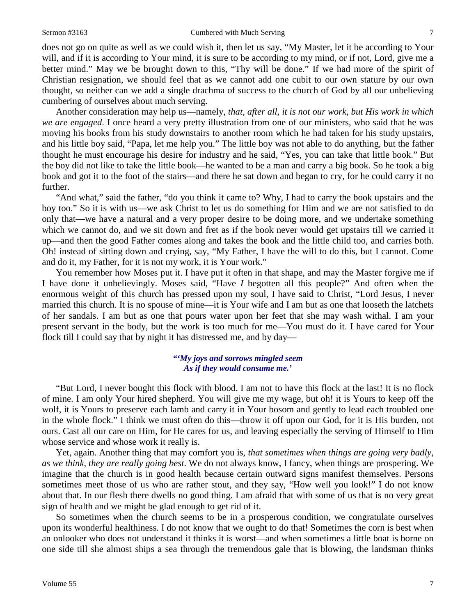does not go on quite as well as we could wish it, then let us say, "My Master, let it be according to Your will, and if it is according to Your mind, it is sure to be according to my mind, or if not, Lord, give me a better mind." May we be brought down to this, "Thy will be done." If we had more of the spirit of Christian resignation, we should feel that as we cannot add one cubit to our own stature by our own thought, so neither can we add a single drachma of success to the church of God by all our unbelieving cumbering of ourselves about much serving.

Another consideration may help us—namely, *that, after all, it is not our work, but His work in which we are engaged*. I once heard a very pretty illustration from one of our ministers, who said that he was moving his books from his study downstairs to another room which he had taken for his study upstairs, and his little boy said, "Papa, let me help you." The little boy was not able to do anything, but the father thought he must encourage his desire for industry and he said, "Yes, you can take that little book." But the boy did not like to take the little book—he wanted to be a man and carry a big book. So he took a big book and got it to the foot of the stairs—and there he sat down and began to cry, for he could carry it no further.

"And what," said the father, "do you think it came to? Why, I had to carry the book upstairs and the boy too." So it is with us—we ask Christ to let us do something for Him and we are not satisfied to do only that—we have a natural and a very proper desire to be doing more, and we undertake something which we cannot do, and we sit down and fret as if the book never would get upstairs till we carried it up—and then the good Father comes along and takes the book and the little child too, and carries both. Oh! instead of sitting down and crying, say, "My Father, I have the will to do this, but I cannot. Come and do it, my Father, for it is not my work, it is Your work."

You remember how Moses put it. I have put it often in that shape, and may the Master forgive me if I have done it unbelievingly. Moses said, "Have *I* begotten all this people?" And often when the enormous weight of this church has pressed upon my soul, I have said to Christ, "Lord Jesus, I never married this church. It is no spouse of mine—it is Your wife and I am but as one that looseth the latchets of her sandals. I am but as one that pours water upon her feet that she may wash withal. I am your present servant in the body, but the work is too much for me—You must do it. I have cared for Your flock till I could say that by night it has distressed me, and by day—

### *"'My joys and sorrows mingled seem As if they would consume me.'*

"But Lord, I never bought this flock with blood. I am not to have this flock at the last! It is no flock of mine. I am only Your hired shepherd. You will give me my wage, but oh! it is Yours to keep off the wolf, it is Yours to preserve each lamb and carry it in Your bosom and gently to lead each troubled one in the whole flock." I think we must often do this—throw it off upon our God, for it is His burden, not ours. Cast all our care on Him, for He cares for us, and leaving especially the serving of Himself to Him whose service and whose work it really is.

Yet, again. Another thing that may comfort you is, *that sometimes when things are going very badly, as we think, they are really going best*. We do not always know, I fancy, when things are prospering. We imagine that the church is in good health because certain outward signs manifest themselves. Persons sometimes meet those of us who are rather stout, and they say, "How well you look!" I do not know about that. In our flesh there dwells no good thing. I am afraid that with some of us that is no very great sign of health and we might be glad enough to get rid of it.

So sometimes when the church seems to be in a prosperous condition, we congratulate ourselves upon its wonderful healthiness. I do not know that we ought to do that! Sometimes the corn is best when an onlooker who does not understand it thinks it is worst—and when sometimes a little boat is borne on one side till she almost ships a sea through the tremendous gale that is blowing, the landsman thinks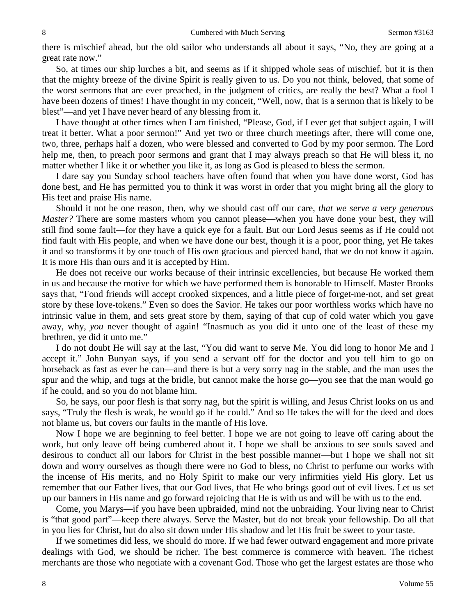there is mischief ahead, but the old sailor who understands all about it says, "No, they are going at a great rate now."

So, at times our ship lurches a bit, and seems as if it shipped whole seas of mischief, but it is then that the mighty breeze of the divine Spirit is really given to us. Do you not think, beloved, that some of the worst sermons that are ever preached, in the judgment of critics, are really the best? What a fool I have been dozens of times! I have thought in my conceit, "Well, now, that is a sermon that is likely to be blest"—and yet I have never heard of any blessing from it.

I have thought at other times when I am finished, "Please, God, if I ever get that subject again, I will treat it better. What a poor sermon!" And yet two or three church meetings after, there will come one, two, three, perhaps half a dozen, who were blessed and converted to God by my poor sermon. The Lord help me, then, to preach poor sermons and grant that I may always preach so that He will bless it, no matter whether I like it or whether you like it, as long as God is pleased to bless the sermon.

I dare say you Sunday school teachers have often found that when you have done worst, God has done best, and He has permitted you to think it was worst in order that you might bring all the glory to His feet and praise His name.

Should it not be one reason, then, why we should cast off our care, *that we serve a very generous Master?* There are some masters whom you cannot please—when you have done your best, they will still find some fault—for they have a quick eye for a fault. But our Lord Jesus seems as if He could not find fault with His people, and when we have done our best, though it is a poor, poor thing, yet He takes it and so transforms it by one touch of His own gracious and pierced hand, that we do not know it again. It is more His than ours and it is accepted by Him.

He does not receive our works because of their intrinsic excellencies, but because He worked them in us and because the motive for which we have performed them is honorable to Himself. Master Brooks says that, "Fond friends will accept crooked sixpences, and a little piece of forget-me-not, and set great store by these love-tokens." Even so does the Savior. He takes our poor worthless works which have no intrinsic value in them, and sets great store by them, saying of that cup of cold water which you gave away, why, *you* never thought of again! "Inasmuch as you did it unto one of the least of these my brethren, ye did it unto me."

I do not doubt He will say at the last, "You did want to serve Me. You did long to honor Me and I accept it." John Bunyan says, if you send a servant off for the doctor and you tell him to go on horseback as fast as ever he can—and there is but a very sorry nag in the stable, and the man uses the spur and the whip, and tugs at the bridle, but cannot make the horse go—you see that the man would go if he could, and so you do not blame him.

So, he says, our poor flesh is that sorry nag, but the spirit is willing, and Jesus Christ looks on us and says, "Truly the flesh is weak, he would go if he could." And so He takes the will for the deed and does not blame us, but covers our faults in the mantle of His love.

Now I hope we are beginning to feel better. I hope we are not going to leave off caring about the work, but only leave off being cumbered about it. I hope we shall be anxious to see souls saved and desirous to conduct all our labors for Christ in the best possible manner—but I hope we shall not sit down and worry ourselves as though there were no God to bless, no Christ to perfume our works with the incense of His merits, and no Holy Spirit to make our very infirmities yield His glory. Let us remember that our Father lives, that our God lives, that He who brings good out of evil lives. Let us set up our banners in His name and go forward rejoicing that He is with us and will be with us to the end.

Come, you Marys—if you have been upbraided, mind not the unbraiding. Your living near to Christ is "that good part"—keep there always. Serve the Master, but do not break your fellowship. Do all that in you lies for Christ, but do also sit down under His shadow and let His fruit be sweet to your taste.

If we sometimes did less, we should do more. If we had fewer outward engagement and more private dealings with God, we should be richer. The best commerce is commerce with heaven. The richest merchants are those who negotiate with a covenant God. Those who get the largest estates are those who